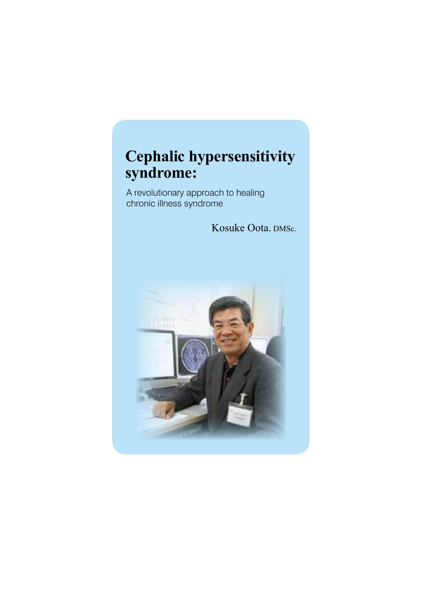### **Cephalic hypersensitivity syndrome:**

A revolutionary approach to healing chronic illness syndrome

Kosuke Oota. DMSc.

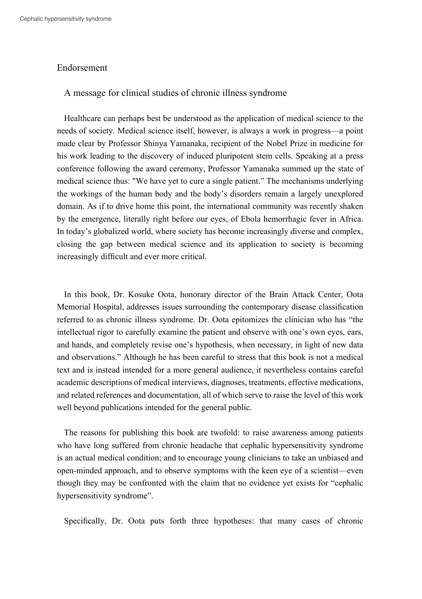#### Endorsement

#### A message for clinical studies of chronic illness syndrome

Healthcare can perhaps best be understood as the application of medical science to the needs of society. Medical science itself, however, is always a work in progress—a point made clear by Professor Shinya Yamanaka, recipient of the Nobel Prize in medicine for his work leading to the discovery of induced pluripotent stem cells. Speaking at a press conference following the award ceremony, Professor Yamanaka summed up the state of medical science thus: "We have yet to cure a single patient." The mechanisms underlying the workings of the human body and the body's disorders remain a largely unexplored domain. As if to drive home this point, the international community was recently shaken by the emergence, literally right before our eyes, of Ebola hemorrhagic fever in Africa. In today's globalized world, where society has become increasingly diverse and complex, closing the gap between medical science and its application to society is becoming increasingly difficult and ever more critical.

In this book, Dr. Kosuke Oota, honorary director of the Brain Attack Center, Oota Memorial Hospital, addresses issues surrounding the contemporary disease classification referred to as chronic illness syndrome. Dr. Oota epitomizes the clinician who has "the intellectual rigor to carefully examine the patient and observe with one's own eyes, ears, and hands, and completely revise one's hypothesis, when necessary, in light of new data and observations." Although he has been careful to stress that this book is not a medical text and is instead intended for a more general audience, it nevertheless contains careful academic descriptions of medical interviews, diagnoses, treatments, effective medications, and related references and documentation, all of which serve to raise the level of this work well beyond publications intended for the general public.

The reasons for publishing this book are twofold: to raise awareness among patients who have long suffered from chronic headache that cephalic hypersensitivity syndrome is an actual medical condition; and to encourage young clinicians to take an unbiased and open-minded approach, and to observe symptoms with the keen eye of a scientist—even though they may be confronted with the claim that no evidence yet exists for "cephalic hypersensitivity syndrome".

Specifically, Dr. Oota puts forth three hypotheses: that many cases of chronic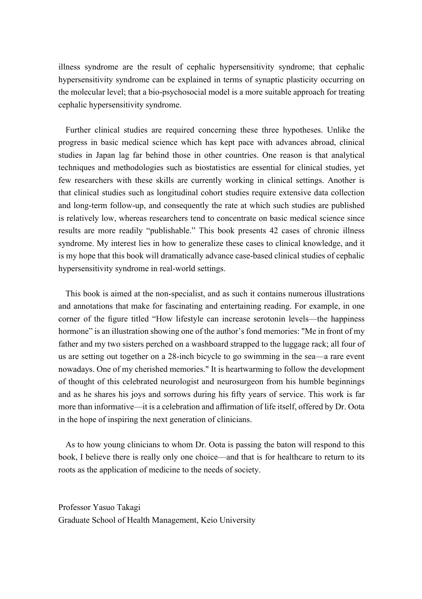illness syndrome are the result of cephalic hypersensitivity syndrome; that cephalic hypersensitivity syndrome can be explained in terms of synaptic plasticity occurring on the molecular level; that a bio-psychosocial model is a more suitable approach for treating cephalic hypersensitivity syndrome.

Further clinical studies are required concerning these three hypotheses. Unlike the progress in basic medical science which has kept pace with advances abroad, clinical studies in Japan lag far behind those in other countries. One reason is that analytical techniques and methodologies such as biostatistics are essential for clinical studies, yet few researchers with these skills are currently working in clinical settings. Another is that clinical studies such as longitudinal cohort studies require extensive data collection and long-term follow-up, and consequently the rate at which such studies are published is relatively low, whereas researchers tend to concentrate on basic medical science since results are more readily "publishable." This book presents 42 cases of chronic illness syndrome. My interest lies in how to generalize these cases to clinical knowledge, and it is my hope that this book will dramatically advance case-based clinical studies of cephalic hypersensitivity syndrome in real-world settings.

This book is aimed at the non-specialist, and as such it contains numerous illustrations and annotations that make for fascinating and entertaining reading. For example, in one corner of the figure titled "How lifestyle can increase serotonin levels—the happiness hormone" is an illustration showing one of the author's fond memories: "Me in front of my father and my two sisters perched on a washboard strapped to the luggage rack; all four of us are setting out together on a 28-inch bicycle to go swimming in the sea—a rare event nowadays. One of my cherished memories." It is heartwarming to follow the development of thought of this celebrated neurologist and neurosurgeon from his humble beginnings and as he shares his joys and sorrows during his fifty years of service. This work is far more than informative—it is a celebration and affirmation of life itself, offered by Dr. Oota in the hope of inspiring the next generation of clinicians.

As to how young clinicians to whom Dr. Oota is passing the baton will respond to this book, I believe there is really only one choice—and that is for healthcare to return to its roots as the application of medicine to the needs of society.

Professor Yasuo Takagi Graduate School of Health Management, Keio University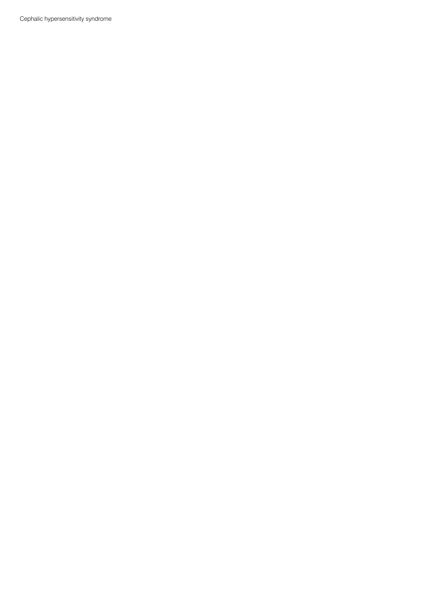Cephalic hypersensitivity syndrome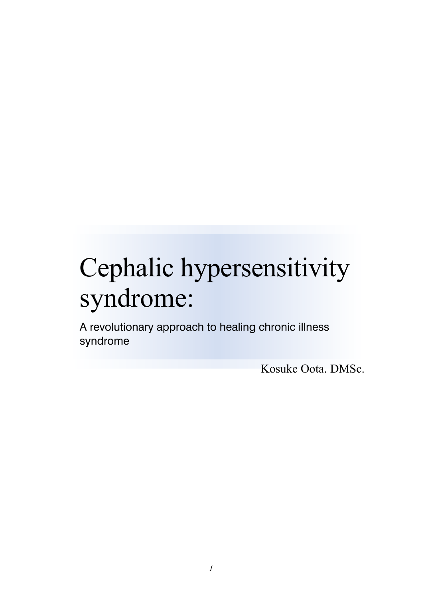## Cephalic hypersensitivity syndrome:

A revolutionary approach to healing chronic illness syndrome

Kosuke Oota. DMSc.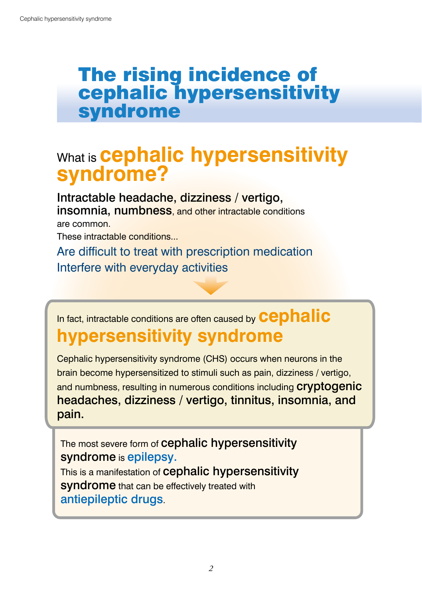## The rising incidence of cephalic hypersensitivity syndrome

# What is **cephalic hypersensitivity syndrome?**

Intractable headache, dizziness / vertigo, insomnia, numbness, and other intractable conditions are common. These intractable conditions... Are difficult to treat with prescription medication

Interfere with everyday activities

In fact, intractable conditions are often caused by **cephalic** 

## **hypersensitivity syndrome**

Cephalic hypersensitivity syndrome (CHS) occurs when neurons in the brain become hypersensitized to stimuli such as pain, dizziness / vertigo, and numbness, resulting in numerous conditions including **Cryptogenic** headaches, dizziness / vertigo, tinnitus, insomnia, and pain.

The most severe form of cephalic hypersensitivity syndrome is epilepsy. This is a manifestation of cephalic hypersensitivity **syndrome** that can be effectively treated with

antiepileptic drugs.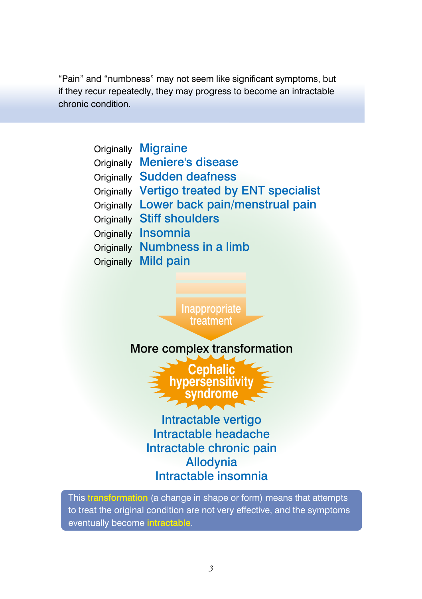"Pain" and "numbness" may not seem like significant symptoms, but if they recur repeatedly, they may progress to become an intractable chronic condition.

> Originally Migraine Originally Meniere's disease Originally Sudden deafness Originally Vertigo treated by ENT specialist Originally Lower back pain/menstrual pain Originally Stiff shoulders Originally Insomnia Originally Numbness in a limb Originally **Mild pain**

> > Inappropriate treatment

#### More complex transformation

**Cephalic** hypersensitivi<br>syndrome

Intractable vertigo Intractable headache Intractable chronic pain Allodynia Intractable insomnia

This transformation (a change in shape or form) means that attempts to treat the original condition are not very effective, and the symptoms eventually become intractable.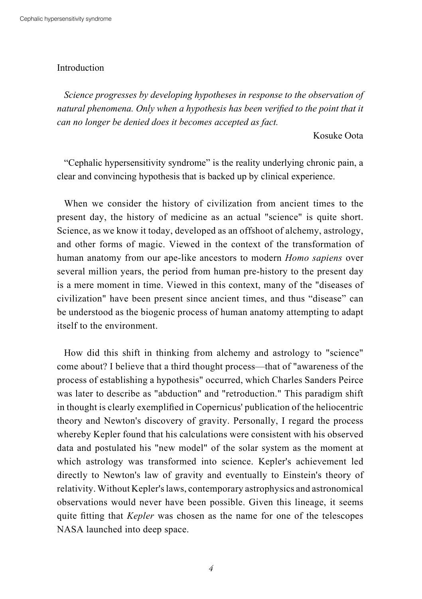#### Introduction

*Science progresses by developing hypotheses in response to the observation of natural phenomena. Only when a hypothesis has been verified to the point that it can no longer be denied does it becomes accepted as fact.*

Kosuke Oota

"Cephalic hypersensitivity syndrome" is the reality underlying chronic pain, a clear and convincing hypothesis that is backed up by clinical experience.

When we consider the history of civilization from ancient times to the present day, the history of medicine as an actual "science" is quite short. Science, as we know it today, developed as an offshoot of alchemy, astrology, and other forms of magic. Viewed in the context of the transformation of human anatomy from our ape-like ancestors to modern *Homo sapiens* over several million years, the period from human pre-history to the present day is a mere moment in time. Viewed in this context, many of the "diseases of civilization" have been present since ancient times, and thus "disease" can be understood as the biogenic process of human anatomy attempting to adapt itself to the environment.

How did this shift in thinking from alchemy and astrology to "science" come about? I believe that a third thought process—that of "awareness of the process of establishing a hypothesis" occurred, which Charles Sanders Peirce was later to describe as "abduction" and "retroduction." This paradigm shift in thought is clearly exemplified in Copernicus' publication of the heliocentric theory and Newton's discovery of gravity. Personally, I regard the process whereby Kepler found that his calculations were consistent with his observed data and postulated his "new model" of the solar system as the moment at which astrology was transformed into science. Kepler's achievement led directly to Newton's law of gravity and eventually to Einstein's theory of relativity. Without Kepler's laws, contemporary astrophysics and astronomical observations would never have been possible. Given this lineage, it seems quite fitting that *Kepler* was chosen as the name for one of the telescopes NASA launched into deep space.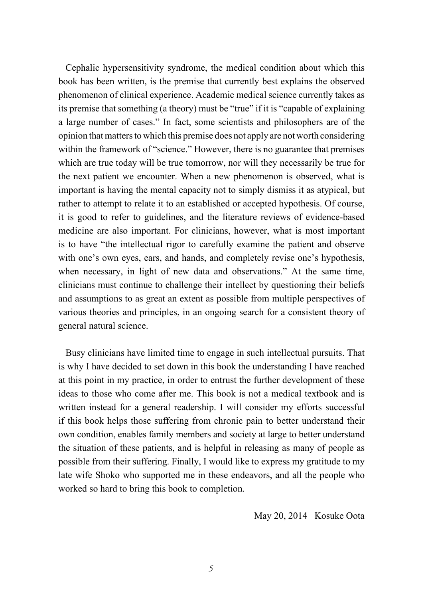Cephalic hypersensitivity syndrome, the medical condition about which this book has been written, is the premise that currently best explains the observed phenomenon of clinical experience. Academic medical science currently takes as its premise that something (a theory) must be "true" if it is "capable of explaining a large number of cases." In fact, some scientists and philosophers are of the opinion that matters to which this premise does not apply are not worth considering within the framework of "science." However, there is no guarantee that premises which are true today will be true tomorrow, nor will they necessarily be true for the next patient we encounter. When a new phenomenon is observed, what is important is having the mental capacity not to simply dismiss it as atypical, but rather to attempt to relate it to an established or accepted hypothesis. Of course, it is good to refer to guidelines, and the literature reviews of evidence-based medicine are also important. For clinicians, however, what is most important is to have "the intellectual rigor to carefully examine the patient and observe with one's own eyes, ears, and hands, and completely revise one's hypothesis, when necessary, in light of new data and observations." At the same time, clinicians must continue to challenge their intellect by questioning their beliefs and assumptions to as great an extent as possible from multiple perspectives of various theories and principles, in an ongoing search for a consistent theory of general natural science.

Busy clinicians have limited time to engage in such intellectual pursuits. That is why I have decided to set down in this book the understanding I have reached at this point in my practice, in order to entrust the further development of these ideas to those who come after me. This book is not a medical textbook and is written instead for a general readership. I will consider my efforts successful if this book helps those suffering from chronic pain to better understand their own condition, enables family members and society at large to better understand the situation of these patients, and is helpful in releasing as many of people as possible from their suffering. Finally, I would like to express my gratitude to my late wife Shoko who supported me in these endeavors, and all the people who worked so hard to bring this book to completion.

May 20, 2014 Kosuke Oota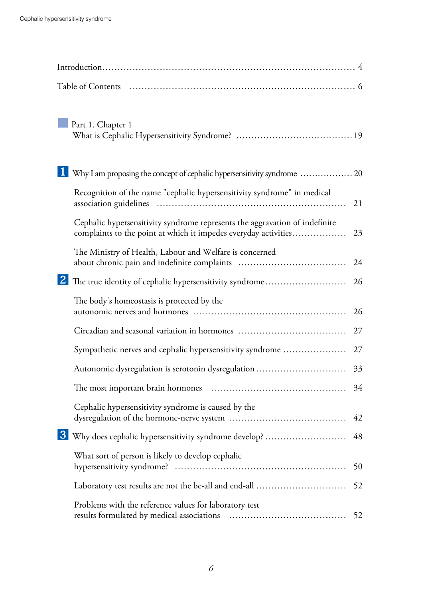|   | Introduction                                                                                                                                   |    |
|---|------------------------------------------------------------------------------------------------------------------------------------------------|----|
|   | Table of Contents                                                                                                                              |    |
|   | Part 1. Chapter 1                                                                                                                              |    |
|   | Why I am proposing the concept of cephalic hypersensitivity syndrome  20                                                                       |    |
|   | Recognition of the name "cephalic hypersensitivity syndrome" in medical                                                                        | 21 |
|   | Cephalic hypersensitivity syndrome represents the aggravation of indefinite<br>complaints to the point at which it impedes everyday activities | 23 |
|   | The Ministry of Health, Labour and Welfare is concerned                                                                                        | 24 |
| 2 | The true identity of cephalic hypersensitivity syndrome                                                                                        | 26 |
|   | The body's homeostasis is protected by the                                                                                                     | 26 |
|   |                                                                                                                                                | 27 |
|   | Sympathetic nerves and cephalic hypersensitivity syndrome                                                                                      | 27 |
|   | Autonomic dysregulation is serotonin dysregulation                                                                                             | 33 |
|   |                                                                                                                                                | 34 |
|   | Cephalic hypersensitivity syndrome is caused by the                                                                                            | 42 |
|   | <sup>3</sup> Why does cephalic hypersensitivity syndrome develop?                                                                              | 48 |
|   | What sort of person is likely to develop cephalic                                                                                              | 50 |
|   | Laboratory test results are not the be-all and end-all                                                                                         | 52 |
|   | Problems with the reference values for laboratory test                                                                                         | 52 |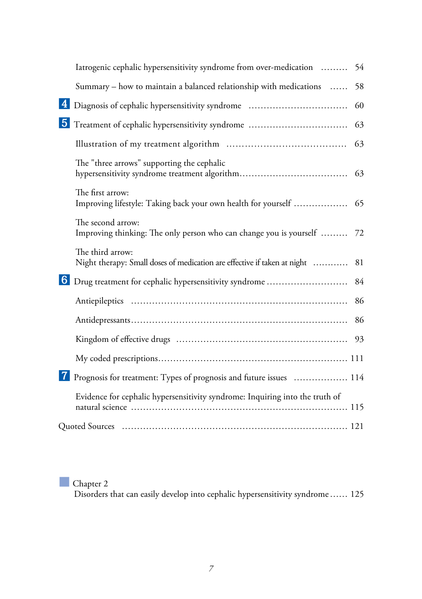| Iatrogenic cephalic hypersensitivity syndrome from over-medication                           | 54 |
|----------------------------------------------------------------------------------------------|----|
| Summary - how to maintain a balanced relationship with medications                           | 58 |
|                                                                                              | 60 |
|                                                                                              | 63 |
|                                                                                              | 63 |
| The "three arrows" supporting the cephalic                                                   |    |
| The first arrow:<br>Improving lifestyle: Taking back your own health for yourself  65        |    |
| The second arrow:<br>Improving thinking: The only person who can change you is yourself  72  |    |
| The third arrow:<br>Night therapy: Small doses of medication are effective if taken at night | 81 |
| 6 Drug treatment for cephalic hypersensitivity syndrome                                      | 84 |
|                                                                                              | 86 |
|                                                                                              | 86 |
|                                                                                              | 93 |
|                                                                                              |    |
| <sup>7</sup> Prognosis for treatment: Types of prognosis and future issues  114              |    |
| Evidence for cephalic hypersensitivity syndrome: Inquiring into the truth of                 |    |
|                                                                                              |    |

#### ■ Chapter 2

Disorders that can easily develop into cephalic hypersensitivity syndrome…… 125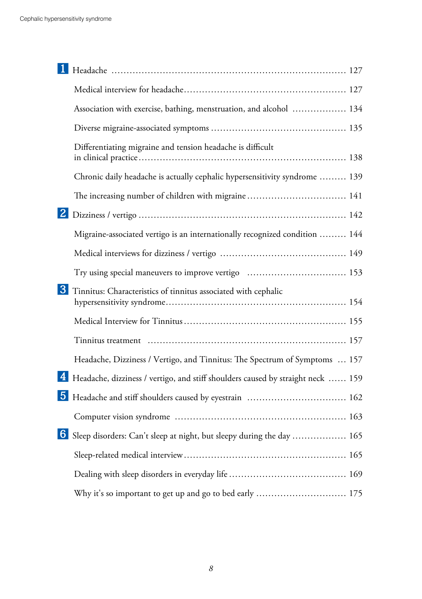| 1 |                                                                                   |  |
|---|-----------------------------------------------------------------------------------|--|
|   |                                                                                   |  |
|   | Association with exercise, bathing, menstruation, and alcohol  134                |  |
|   |                                                                                   |  |
|   | Differentiating migraine and tension headache is difficult                        |  |
|   | Chronic daily headache is actually cephalic hypersensitivity syndrome  139        |  |
|   | The increasing number of children with migraine  141                              |  |
|   |                                                                                   |  |
|   | Migraine-associated vertigo is an internationally recognized condition  144       |  |
|   |                                                                                   |  |
|   | Try using special maneuvers to improve vertigo  153                               |  |
|   | <sup>3</sup> Tinnitus: Characteristics of tinnitus associated with cephalic       |  |
|   |                                                                                   |  |
|   |                                                                                   |  |
|   | Headache, Dizziness / Vertigo, and Tinnitus: The Spectrum of Symptoms  157        |  |
|   | 4 Headache, dizziness / vertigo, and stiff shoulders caused by straight neck  159 |  |
|   |                                                                                   |  |
|   |                                                                                   |  |
|   | 6 Sleep disorders: Can't sleep at night, but sleepy during the day  165           |  |
|   |                                                                                   |  |
|   |                                                                                   |  |
|   | Why it's so important to get up and go to bed early  175                          |  |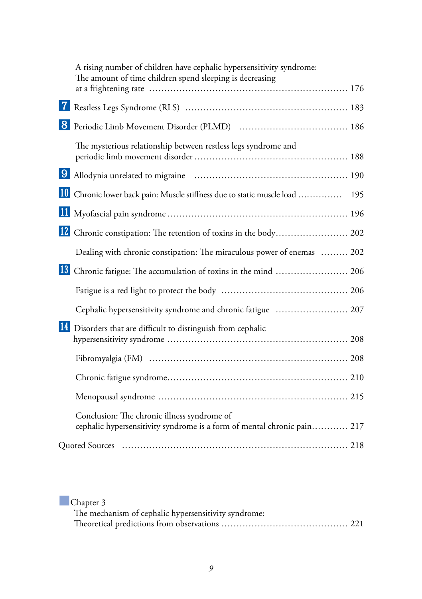| A rising number of children have cephalic hypersensitivity syndrome:<br>The amount of time children spend sleeping is decreasing |     |
|----------------------------------------------------------------------------------------------------------------------------------|-----|
|                                                                                                                                  |     |
|                                                                                                                                  |     |
|                                                                                                                                  |     |
| The mysterious relationship between restless legs syndrome and                                                                   |     |
|                                                                                                                                  |     |
| 10 Chronic lower back pain: Muscle stiffness due to static muscle load                                                           | 195 |
|                                                                                                                                  |     |
|                                                                                                                                  |     |
| Dealing with chronic constipation: The miraculous power of enemas  202                                                           |     |
| <sup>13</sup> Chronic fatigue: The accumulation of toxins in the mind  206                                                       |     |
|                                                                                                                                  |     |
| Cephalic hypersensitivity syndrome and chronic fatigue  207                                                                      |     |
| 14 Disorders that are difficult to distinguish from cephalic                                                                     |     |
|                                                                                                                                  |     |
|                                                                                                                                  |     |
|                                                                                                                                  |     |
| Conclusion: The chronic illness syndrome of<br>cephalic hypersensitivity syndrome is a form of mental chronic pain 217           |     |
|                                                                                                                                  |     |
|                                                                                                                                  |     |

## ■Chapter 3

| The mechanism of cephalic hypersensitivity syndrome: |  |
|------------------------------------------------------|--|
|                                                      |  |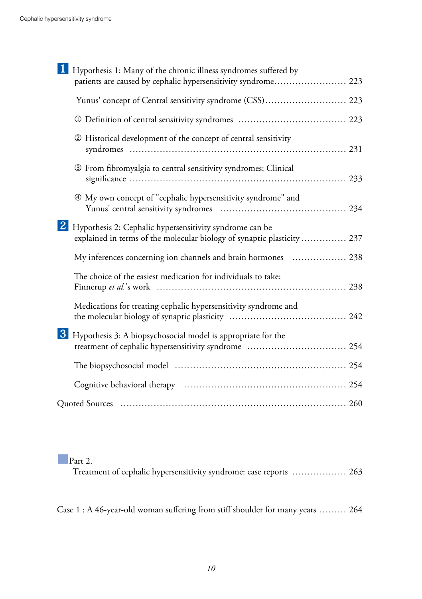| Hypothesis 1: Many of the chronic illness syndromes suffered by<br>patients are caused by cephalic hypersensitivity syndrome 223     |  |
|--------------------------------------------------------------------------------------------------------------------------------------|--|
|                                                                                                                                      |  |
|                                                                                                                                      |  |
| 2 Historical development of the concept of central sensitivity                                                                       |  |
| 3 From fibromyalgia to central sensitivity syndromes: Clinical                                                                       |  |
| 4 My own concept of "cephalic hypersensitivity syndrome" and                                                                         |  |
| 2 Hypothesis 2: Cephalic hypersensitivity syndrome can be<br>explained in terms of the molecular biology of synaptic plasticity  237 |  |
| My inferences concerning ion channels and brain hormones  238                                                                        |  |
| The choice of the easiest medication for individuals to take:                                                                        |  |
| Medications for treating cephalic hypersensitivity syndrome and                                                                      |  |
| Hypothesis 3: A biopsychosocial model is appropriate for the                                                                         |  |
|                                                                                                                                      |  |
|                                                                                                                                      |  |
|                                                                                                                                      |  |
|                                                                                                                                      |  |

#### Part 2.

Case 1 : A 46-year-old woman suffering from stiff shoulder for many years ……… 264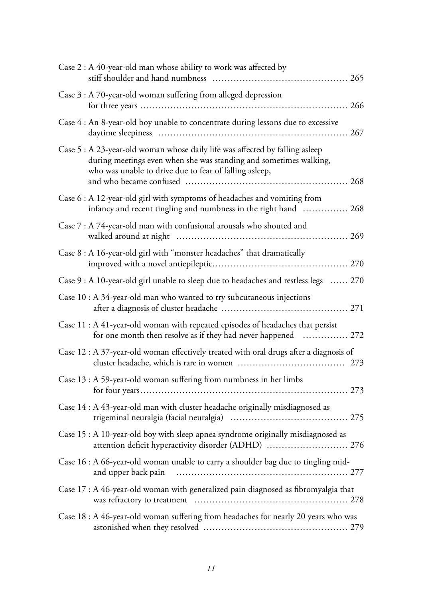| Case 2 : A 40-year-old man whose ability to work was affected by                                                                                                                                            |
|-------------------------------------------------------------------------------------------------------------------------------------------------------------------------------------------------------------|
| Case 3 : A 70-year-old woman suffering from alleged depression                                                                                                                                              |
| Case 4 : An 8-year-old boy unable to concentrate during lessons due to excessive<br>. 267                                                                                                                   |
| Case 5 : A 23-year-old woman whose daily life was affected by falling asleep<br>during meetings even when she was standing and sometimes walking,<br>who was unable to drive due to fear of falling asleep, |
| Case 6 : A 12-year-old girl with symptoms of headaches and vomiting from<br>infancy and recent tingling and numbness in the right hand  268                                                                 |
| Case 7 : A 74-year-old man with confusional arousals who shouted and                                                                                                                                        |
| Case 8 : A 16-year-old girl with "monster headaches" that dramatically                                                                                                                                      |
| Case 9 : A 10-year-old girl unable to sleep due to headaches and restless legs  270                                                                                                                         |
| Case 10 : A 34-year-old man who wanted to try subcutaneous injections                                                                                                                                       |
| Case 11 : A 41-year-old woman with repeated episodes of headaches that persist<br>for one month then resolve as if they had never happened  272                                                             |
| Case 12 : A 37-year-old woman effectively treated with oral drugs after a diagnosis of                                                                                                                      |
| Case 13 : A 59-year-old woman suffering from numbness in her limbs                                                                                                                                          |
| Case 14 : A 43-year-old man with cluster headache originally misdiagnosed as                                                                                                                                |
| Case 15 : A 10-year-old boy with sleep apnea syndrome originally misdiagnosed as<br>attention deficit hyperactivity disorder (ADHD)  276                                                                    |
| Case 16 : A 66-year-old woman unable to carry a shoulder bag due to tingling mid-<br>and upper back pain                                                                                                    |
| Case 17 : A 46-year-old woman with generalized pain diagnosed as fibromyalgia that                                                                                                                          |
| Case 18 : A 46-year-old woman suffering from headaches for nearly 20 years who was                                                                                                                          |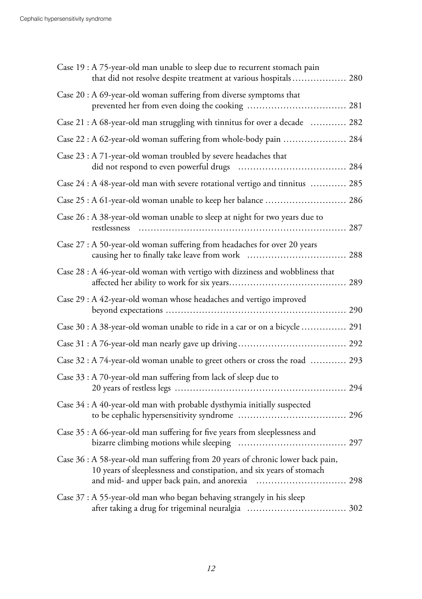| Case 19 : A 75-year-old man unable to sleep due to recurrent stomach pain<br>that did not resolve despite treatment at various hospitals 280                                                          |  |
|-------------------------------------------------------------------------------------------------------------------------------------------------------------------------------------------------------|--|
| Case 20 : A 69-year-old woman suffering from diverse symptoms that                                                                                                                                    |  |
| Case 21 : A 68-year-old man struggling with tinnitus for over a decade  282                                                                                                                           |  |
| Case 22 : A 62-year-old woman suffering from whole-body pain  284                                                                                                                                     |  |
| Case 23 : A 71-year-old woman troubled by severe headaches that                                                                                                                                       |  |
| Case 24 : A 48-year-old man with severe rotational vertigo and tinnitus  285                                                                                                                          |  |
| Case 25 : A 61-year-old woman unable to keep her balance  286                                                                                                                                         |  |
| Case 26 : A 38-year-old woman unable to sleep at night for two years due to                                                                                                                           |  |
| Case 27 : A 50-year-old woman suffering from headaches for over 20 years                                                                                                                              |  |
| Case 28 : A 46-year-old woman with vertigo with dizziness and wobbliness that                                                                                                                         |  |
| Case 29 : A 42-year-old woman whose headaches and vertigo improved                                                                                                                                    |  |
| Case 30 : A 38-year-old woman unable to ride in a car or on a bicycle  291                                                                                                                            |  |
|                                                                                                                                                                                                       |  |
| Case 32 : A 74-year-old woman unable to greet others or cross the road  293                                                                                                                           |  |
| Case 33 : A 70-year-old man suffering from lack of sleep due to                                                                                                                                       |  |
| Case 34 : A 40-year-old man with probable dysthymia initially suspected                                                                                                                               |  |
| Case 35 : A 66-year-old man suffering for five years from sleeplessness and                                                                                                                           |  |
| Case 36 : A 58-year-old man suffering from 20 years of chronic lower back pain,<br>10 years of sleeplessness and constipation, and six years of stomach<br>and mid- and upper back pain, and anorexia |  |
| Case 37 : A 55-year-old man who began behaving strangely in his sleep                                                                                                                                 |  |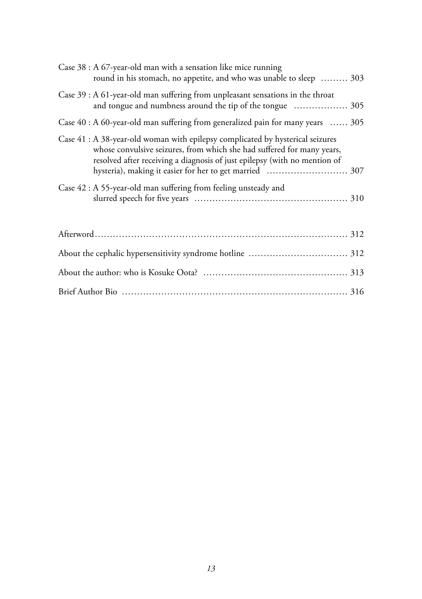| Case 38 : A 67-year-old man with a sensation like mice running<br>round in his stomach, no appetite, and who was unable to sleep  303                                                                                                                                                            |
|--------------------------------------------------------------------------------------------------------------------------------------------------------------------------------------------------------------------------------------------------------------------------------------------------|
| Case 39 : A 61-year-old man suffering from unpleasant sensations in the throat<br>and tongue and numbness around the tip of the tongue  305                                                                                                                                                      |
| Case $40: A$ 60-year-old man suffering from generalized pain for many years  305                                                                                                                                                                                                                 |
| Case 41 : A 38-year-old woman with epilepsy complicated by hysterical seizures<br>whose convulsive seizures, from which she had suffered for many years,<br>resolved after receiving a diagnosis of just epilepsy (with no mention of<br>hysteria), making it easier for her to get married  307 |
| Case 42 : A 55-year-old man suffering from feeling unsteady and                                                                                                                                                                                                                                  |
|                                                                                                                                                                                                                                                                                                  |
|                                                                                                                                                                                                                                                                                                  |
|                                                                                                                                                                                                                                                                                                  |
|                                                                                                                                                                                                                                                                                                  |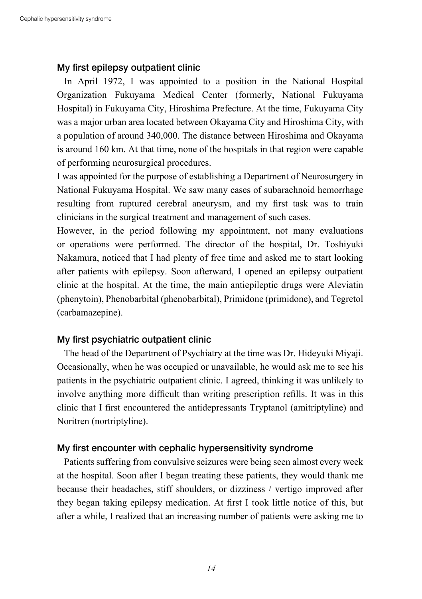#### My first epilepsy outpatient clinic

In April 1972, I was appointed to a position in the National Hospital Organization Fukuyama Medical Center (formerly, National Fukuyama Hospital) in Fukuyama City, Hiroshima Prefecture. At the time, Fukuyama City was a major urban area located between Okayama City and Hiroshima City, with a population of around 340,000. The distance between Hiroshima and Okayama is around 160 km. At that time, none of the hospitals in that region were capable of performing neurosurgical procedures.

I was appointed for the purpose of establishing a Department of Neurosurgery in National Fukuyama Hospital. We saw many cases of subarachnoid hemorrhage resulting from ruptured cerebral aneurysm, and my first task was to train clinicians in the surgical treatment and management of such cases.

However, in the period following my appointment, not many evaluations or operations were performed. The director of the hospital, Dr. Toshiyuki Nakamura, noticed that I had plenty of free time and asked me to start looking after patients with epilepsy. Soon afterward, I opened an epilepsy outpatient clinic at the hospital. At the time, the main antiepileptic drugs were Aleviatin (phenytoin), Phenobarbital (phenobarbital), Primidone (primidone), and Tegretol (carbamazepine).

#### My first psychiatric outpatient clinic

The head of the Department of Psychiatry at the time was Dr. Hideyuki Miyaji. Occasionally, when he was occupied or unavailable, he would ask me to see his patients in the psychiatric outpatient clinic. I agreed, thinking it was unlikely to involve anything more difficult than writing prescription refills. It was in this clinic that I first encountered the antidepressants Tryptanol (amitriptyline) and Noritren (nortriptyline).

#### My first encounter with cephalic hypersensitivity syndrome

Patients suffering from convulsive seizures were being seen almost every week at the hospital. Soon after I began treating these patients, they would thank me because their headaches, stiff shoulders, or dizziness / vertigo improved after they began taking epilepsy medication. At first I took little notice of this, but after a while, I realized that an increasing number of patients were asking me to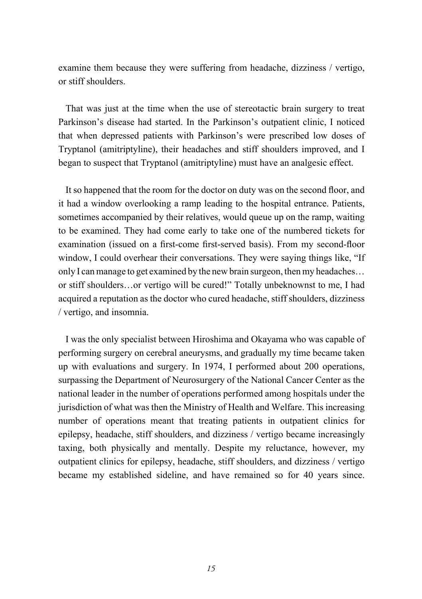examine them because they were suffering from headache, dizziness / vertigo, or stiff shoulders.

That was just at the time when the use of stereotactic brain surgery to treat Parkinson's disease had started. In the Parkinson's outpatient clinic, I noticed that when depressed patients with Parkinson's were prescribed low doses of Tryptanol (amitriptyline), their headaches and stiff shoulders improved, and I began to suspect that Tryptanol (amitriptyline) must have an analgesic effect.

It so happened that the room for the doctor on duty was on the second floor, and it had a window overlooking a ramp leading to the hospital entrance. Patients, sometimes accompanied by their relatives, would queue up on the ramp, waiting to be examined. They had come early to take one of the numbered tickets for examination (issued on a first-come first-served basis). From my second-floor window, I could overhear their conversations. They were saying things like, "If only I can manage to get examined by the new brain surgeon, then my headaches… or stiff shoulders…or vertigo will be cured!" Totally unbeknownst to me, I had acquired a reputation as the doctor who cured headache, stiff shoulders, dizziness / vertigo, and insomnia.

I was the only specialist between Hiroshima and Okayama who was capable of performing surgery on cerebral aneurysms, and gradually my time became taken up with evaluations and surgery. In 1974, I performed about 200 operations, surpassing the Department of Neurosurgery of the National Cancer Center as the national leader in the number of operations performed among hospitals under the jurisdiction of what was then the Ministry of Health and Welfare. This increasing number of operations meant that treating patients in outpatient clinics for epilepsy, headache, stiff shoulders, and dizziness / vertigo became increasingly taxing, both physically and mentally. Despite my reluctance, however, my outpatient clinics for epilepsy, headache, stiff shoulders, and dizziness / vertigo became my established sideline, and have remained so for 40 years since.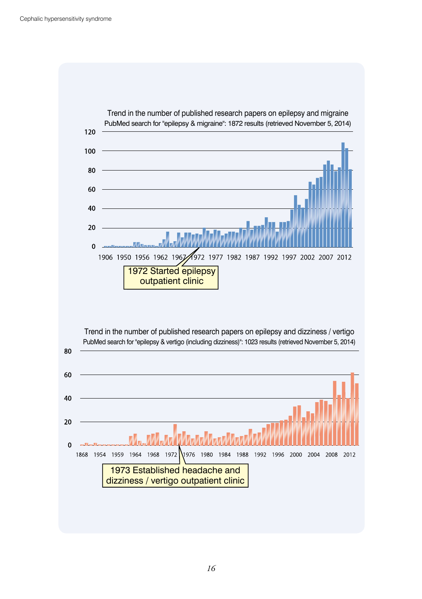

Trend in the number of published research papers on epilepsy and migraine

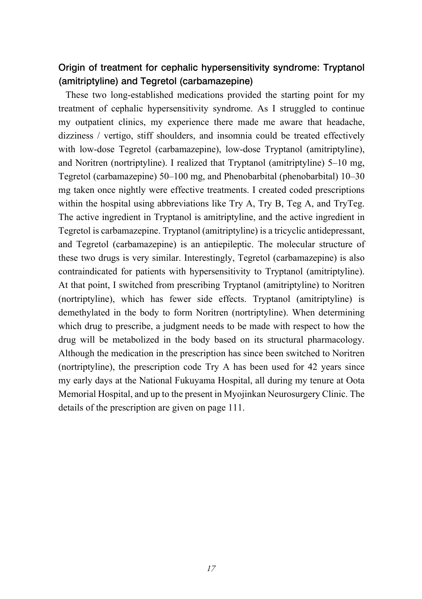#### Origin of treatment for cephalic hypersensitivity syndrome: Tryptanol (amitriptyline) and Tegretol (carbamazepine)

These two long-established medications provided the starting point for my treatment of cephalic hypersensitivity syndrome. As I struggled to continue my outpatient clinics, my experience there made me aware that headache, dizziness / vertigo, stiff shoulders, and insomnia could be treated effectively with low-dose Tegretol (carbamazepine), low-dose Tryptanol (amitriptyline), and Noritren (nortriptyline). I realized that Tryptanol (amitriptyline) 5–10 mg, Tegretol (carbamazepine) 50–100 mg, and Phenobarbital (phenobarbital) 10–30 mg taken once nightly were effective treatments. I created coded prescriptions within the hospital using abbreviations like Try A, Try B, Teg A, and TryTeg. The active ingredient in Tryptanol is amitriptyline, and the active ingredient in Tegretol is carbamazepine. Tryptanol (amitriptyline) is a tricyclic antidepressant, and Tegretol (carbamazepine) is an antiepileptic. The molecular structure of these two drugs is very similar. Interestingly, Tegretol (carbamazepine) is also contraindicated for patients with hypersensitivity to Tryptanol (amitriptyline). At that point, I switched from prescribing Tryptanol (amitriptyline) to Noritren (nortriptyline), which has fewer side effects. Tryptanol (amitriptyline) is demethylated in the body to form Noritren (nortriptyline). When determining which drug to prescribe, a judgment needs to be made with respect to how the drug will be metabolized in the body based on its structural pharmacology. Although the medication in the prescription has since been switched to Noritren (nortriptyline), the prescription code Try A has been used for 42 years since my early days at the National Fukuyama Hospital, all during my tenure at Oota Memorial Hospital, and up to the present in Myojinkan Neurosurgery Clinic. The details of the prescription are given on page 111.